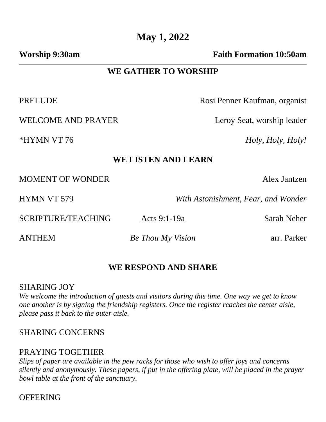**Worship 9:30am Faith Formation 10:50am** 

# **WE GATHER TO WORSHIP**

WELCOME AND PRAYER Leroy Seat, worship leader

PRELUDE Rosi Penner Kaufman, organist

\*HYMN VT 76 *Holy, Holy, Holy!*

#### **WE LISTEN AND LEARN**

MOMENT OF WONDER Alex Jantzen

HYMN VT 579 *With Astonishment, Fear, and Wonder*

SCRIPTURE/TEACHING Acts 9:1-19a Sarah Neher

ANTHEM *Be Thou My Vision* arr. Parker

# **WE RESPOND AND SHARE**

## SHARING JOY

*We welcome the introduction of guests and visitors during this time. One way we get to know one another is by signing the friendship registers. Once the register reaches the center aisle, please pass it back to the outer aisle.*

## SHARING CONCERNS

## PRAYING TOGETHER

*Slips of paper are available in the pew racks for those who wish to offer joys and concerns silently and anonymously. These papers, if put in the offering plate, will be placed in the prayer bowl table at the front of the sanctuary.* 

**OFFERING**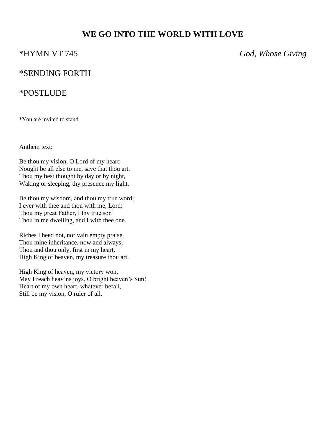# **WE GO INTO THE WORLD WITH LOVE**

\*HYMN VT 745 *God, Whose Giving*

## \*SENDING FORTH

### \*POSTLUDE

\*You are invited to stand

Anthem text:

Be thou my vision, O Lord of my heart; Nought be all else to me, save that thou art. Thou my best thought by day or by night, Waking or sleeping, thy presence my light.

Be thou my wisdom, and thou my true word; I ever with thee and thou with me, Lord; Thou my great Father, I thy true son' Thou in me dwelling, and I with thee one.

Riches I heed not, nor vain empty praise. Thou mine inheritance, now and always; Thou and thou only, first in my heart, High King of heaven, my treasure thou art.

High King of heaven, my victory won, May I reach heav'ns joys, O bright heaven's Sun! Heart of my own heart, whatever befall, Still be my vision, O ruler of all.